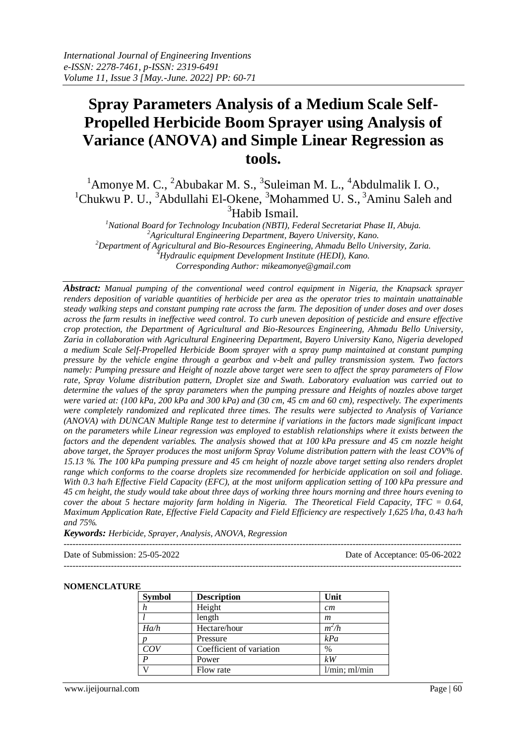# **Spray Parameters Analysis of a Medium Scale Self-Propelled Herbicide Boom Sprayer using Analysis of Variance (ANOVA) and Simple Linear Regression as tools.**

 $1$ Amonye M. C.,  $2$ Abubakar M. S.,  $3$ Suleiman M. L.,  $4$ Abdulmalik I. O.,  $1$ Chukwu P. U.,  $3$ Abdullahi El-Okene,  $3$ Mohammed U. S.,  $3$ Aminu Saleh and  $3$ Habib Ismail.

*National Board for Technology Incubation (NBTI), Federal Secretariat Phase II, Abuja. Agricultural Engineering Department, Bayero University, Kano. Department of Agricultural and Bio-Resources Engineering, Ahmadu Bello University, Zaria. Hydraulic equipment Development Institute (HEDI), Kano. Corresponding Author: mikeamonye@gmail.com*

*Abstract: Manual pumping of the conventional weed control equipment in Nigeria, the Knapsack sprayer renders deposition of variable quantities of herbicide per area as the operator tries to maintain unattainable steady walking steps and constant pumping rate across the farm. The deposition of under doses and over doses across the farm results in ineffective weed control. To curb uneven deposition of pesticide and ensure effective crop protection, the Department of Agricultural and Bio-Resources Engineering, Ahmadu Bello University, Zaria in collaboration with Agricultural Engineering Department, Bayero University Kano, Nigeria developed a medium Scale Self-Propelled Herbicide Boom sprayer with a spray pump maintained at constant pumping pressure by the vehicle engine through a gearbox and v-belt and pulley transmission system. Two factors namely: Pumping pressure and Height of nozzle above target were seen to affect the spray parameters of Flow rate, Spray Volume distribution pattern, Droplet size and Swath. Laboratory evaluation was carried out to determine the values of the spray parameters when the pumping pressure and Heights of nozzles above target were varied at: (100 kPa, 200 kPa and 300 kPa) and (30 cm, 45 cm and 60 cm), respectively. The experiments were completely randomized and replicated three times. The results were subjected to Analysis of Variance (ANOVA) with DUNCAN Multiple Range test to determine if variations in the factors made significant impact on the parameters while Linear regression was employed to establish relationships where it exists between the factors and the dependent variables. The analysis showed that at 100 kPa pressure and 45 cm nozzle height above target, the Sprayer produces the most uniform Spray Volume distribution pattern with the least COV% of 15.13 %. The 100 kPa pumping pressure and 45 cm height of nozzle above target setting also renders droplet range which conforms to the coarse droplets size recommended for herbicide application on soil and foliage. With 0.3 ha/h Effective Field Capacity (EFC), at the most uniform application setting of 100 kPa pressure and 45 cm height, the study would take about three days of working three hours morning and three hours evening to cover the about 5 hectare majority farm holding in Nigeria. The Theoretical Field Capacity, TFC = 0.64, Maximum Application Rate, Effective Field Capacity and Field Efficiency are respectively 1,625 l/ha, 0.43 ha/h and 75%.*

*Keywords: Herbicide, Sprayer, Analysis, ANOVA, Regression*

---------------------------------------------------------------------------------------------------------------------------------------

Date of Submission: 25-05-2022 Date of Acceptance: 05-06-2022

# ---------------------------------------------------------------------------------------------------------------------------------------

#### **NOMENCLATURE**

| <b>Symbol</b> | <b>Description</b>       | Unit                |  |
|---------------|--------------------------|---------------------|--|
| h             | Height                   | cm                  |  |
|               | length                   | m                   |  |
| Ha/h          | Hectare/hour             | $m^2/h$             |  |
|               | Pressure                 | kPa                 |  |
| COV           | Coefficient of variation | $\%$                |  |
| P             | Power                    | kW                  |  |
| ۲.            | Flow rate                | $1/min$ ; m $1/min$ |  |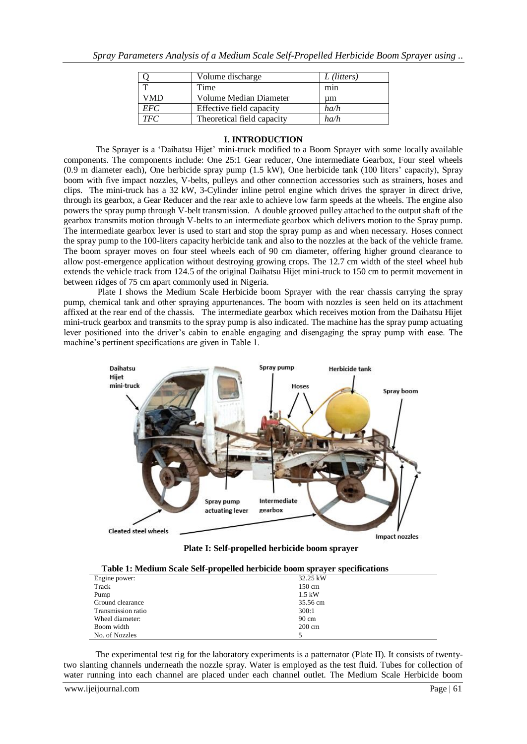|            | Volume discharge           | L (litters) |
|------------|----------------------------|-------------|
|            | Time                       | min         |
| VMD        | Volume Median Diameter     | um          |
| <b>EFC</b> | Effective field capacity   | ha/h        |
| <b>TFC</b> | Theoretical field capacity | ha/h        |

#### **I. INTRODUCTION**

The Sprayer is a 'Daihatsu Hijet' mini-truck modified to a Boom Sprayer with some locally available components. The components include: One 25:1 Gear reducer, One intermediate Gearbox, Four steel wheels (0.9 m diameter each), One herbicide spray pump (1.5 kW), One herbicide tank (100 liters' capacity), Spray boom with five impact nozzles, V-belts, pulleys and other connection accessories such as strainers, hoses and clips. The mini-truck has a 32 kW, 3-Cylinder inline petrol engine which drives the sprayer in direct drive, through its gearbox, a Gear Reducer and the rear axle to achieve low farm speeds at the wheels. The engine also powers the spray pump through V-belt transmission. A double grooved pulley attached to the output shaft of the gearbox transmits motion through V-belts to an intermediate gearbox which delivers motion to the Spray pump. The intermediate gearbox lever is used to start and stop the spray pump as and when necessary. Hoses connect the spray pump to the 100-liters capacity herbicide tank and also to the nozzles at the back of the vehicle frame. The boom sprayer moves on four steel wheels each of 90 cm diameter, offering higher ground clearance to allow post-emergence application without destroying growing crops. The 12.7 cm width of the steel wheel hub extends the vehicle track from 124.5 of the original Daihatsu Hijet mini-truck to 150 cm to permit movement in between ridges of 75 cm apart commonly used in Nigeria.

Plate I shows the Medium Scale Herbicide boom Sprayer with the rear chassis carrying the spray pump, chemical tank and other spraying appurtenances. The boom with nozzles is seen held on its attachment affixed at the rear end of the chassis. The intermediate gearbox which receives motion from the Daihatsu Hijet mini-truck gearbox and transmits to the spray pump is also indicated. The machine has the spray pump actuating lever positioned into the driver's cabin to enable engaging and disengaging the spray pump with ease. The machine's pertinent specifications are given in Table 1.



 **Plate I: Self-propelled herbicide boom sprayer**

| Table 1: Medium Scale Self-propelled herbicide boom sprayer specifications |  |  |
|----------------------------------------------------------------------------|--|--|
|----------------------------------------------------------------------------|--|--|

| Tuble 10 streamin peute pen propeneu nei biene boom spruger specifications |                  |
|----------------------------------------------------------------------------|------------------|
| Engine power:                                                              | 32.25 kW         |
| Track                                                                      | $150 \text{ cm}$ |
| Pump                                                                       | $1.5$ kW         |
| Ground clearance                                                           | 35.56 cm         |
| Transmission ratio                                                         | 300:1            |
| Wheel diameter:                                                            | $90 \text{ cm}$  |
| Boom width                                                                 | $200 \text{ cm}$ |
| No. of Nozzles                                                             |                  |

The experimental test rig for the laboratory experiments is a patternator (Plate II). It consists of twentytwo slanting channels underneath the nozzle spray. Water is employed as the test fluid. Tubes for collection of water running into each channel are placed under each channel outlet. The Medium Scale Herbicide boom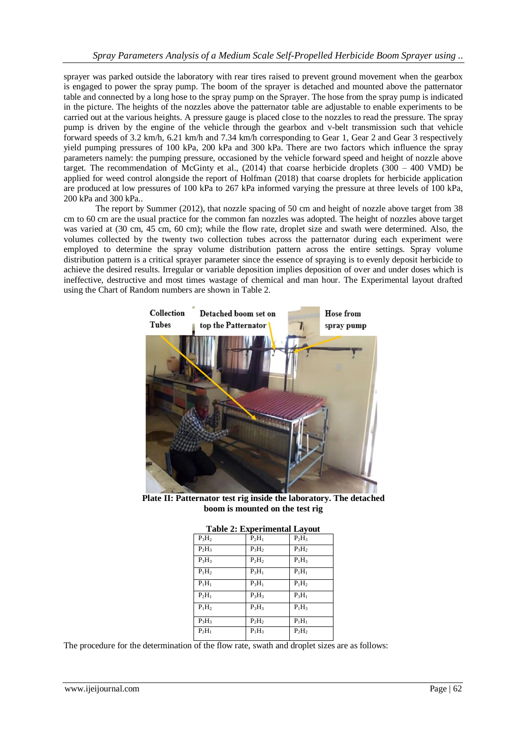sprayer was parked outside the laboratory with rear tires raised to prevent ground movement when the gearbox is engaged to power the spray pump. The boom of the sprayer is detached and mounted above the patternator table and connected by a long hose to the spray pump on the Sprayer. The hose from the spray pump is indicated in the picture. The heights of the nozzles above the patternator table are adjustable to enable experiments to be carried out at the various heights. A pressure gauge is placed close to the nozzles to read the pressure. The spray pump is driven by the engine of the vehicle through the gearbox and v-belt transmission such that vehicle forward speeds of 3.2 km/h, 6.21 km/h and 7.34 km/h corresponding to Gear 1, Gear 2 and Gear 3 respectively yield pumping pressures of 100 kPa, 200 kPa and 300 kPa. There are two factors which influence the spray parameters namely: the pumping pressure, occasioned by the vehicle forward speed and height of nozzle above target. The recommendation of McGinty et al.,  $(2014)$  that coarse herbicide droplets  $(300 - 400 \text{ VMD})$  be applied for weed control alongside the report of Holfman (2018) that coarse droplets for herbicide application are produced at low pressures of 100 kPa to 267 kPa informed varying the pressure at three levels of 100 kPa, 200 kPa and 300 kPa..

The report by Summer (2012), that nozzle spacing of 50 cm and height of nozzle above target from 38 cm to 60 cm are the usual practice for the common fan nozzles was adopted. The height of nozzles above target was varied at (30 cm, 45 cm, 60 cm); while the flow rate, droplet size and swath were determined. Also, the volumes collected by the twenty two collection tubes across the patternator during each experiment were employed to determine the spray volume distribution pattern across the entire settings. Spray volume distribution pattern is a critical sprayer parameter since the essence of spraying is to evenly deposit herbicide to achieve the desired results. Irregular or variable deposition implies deposition of over and under doses which is ineffective, destructive and most times wastage of chemical and man hour. The Experimental layout drafted using the Chart of Random numbers are shown in Table 2.



**Plate II: Patternator test rig inside the laboratory. The detached boom is mounted on the test rig**

| <b>Table 2: Experimental Layout</b> |          |          |
|-------------------------------------|----------|----------|
| $P_3H_2$                            | $P_2H_1$ | $P_2H_3$ |
| $P_2H_3$                            | $P_3H_2$ | $P_3H_2$ |
| $P_3H_3$                            | $P_2H_2$ | $P_1H_3$ |
| $P_1H_2$                            | $P_3H_1$ | $P_1H_1$ |
| $P_1H_1$                            | $P_3H_1$ | $P_1H_2$ |
| $P_2H_1$                            | $P_3H_3$ | $P_3H_1$ |
| $P_1H_2$                            | $P_3H_3$ | $P_1H_3$ |
| $P_3H_3$                            | $P_2H_2$ | $P_1H_1$ |
| $P_2H_1$                            | $P_1H_3$ | $P_2H_2$ |

The procedure for the determination of the flow rate, swath and droplet sizes are as follows: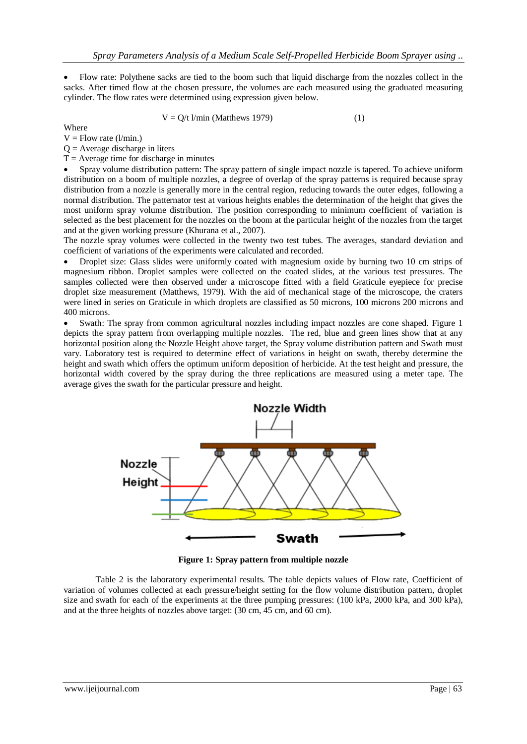Flow rate: Polythene sacks are tied to the boom such that liquid discharge from the nozzles collect in the sacks. After timed flow at the chosen pressure, the volumes are each measured using the graduated measuring cylinder. The flow rates were determined using expression given below.

$$
V = Q/t \, \text{l/min} \, (\text{Matthews } 1979) \tag{1}
$$

Where

 $V =$  Flow rate (l/min.)

 $Q =$  Average discharge in liters

 $T =$  Average time for discharge in minutes

 Spray volume distribution pattern: The spray pattern of single impact nozzle is tapered. To achieve uniform distribution on a boom of multiple nozzles, a degree of overlap of the spray patterns is required because spray distribution from a nozzle is generally more in the central region, reducing towards the outer edges, following a normal distribution. The patternator test at various heights enables the determination of the height that gives the most uniform spray volume distribution. The position corresponding to minimum coefficient of variation is selected as the best placement for the nozzles on the boom at the particular height of the nozzles from the target and at the given working pressure (Khurana et al., 2007).

The nozzle spray volumes were collected in the twenty two test tubes. The averages, standard deviation and coefficient of variations of the experiments were calculated and recorded.

 Droplet size: Glass slides were uniformly coated with magnesium oxide by burning two 10 cm strips of magnesium ribbon. Droplet samples were collected on the coated slides, at the various test pressures. The samples collected were then observed under a microscope fitted with a field Graticule eyepiece for precise droplet size measurement (Matthews, 1979). With the aid of mechanical stage of the microscope, the craters were lined in series on Graticule in which droplets are classified as 50 microns, 100 microns 200 microns and 400 microns.

 Swath: The spray from common agricultural nozzles including impact nozzles are cone shaped. Figure 1 depicts the spray pattern from overlapping multiple nozzles. The red, blue and green lines show that at any horizontal position along the Nozzle Height above target, the Spray volume distribution pattern and Swath must vary. Laboratory test is required to determine effect of variations in height on swath, thereby determine the height and swath which offers the optimum uniform deposition of herbicide. At the test height and pressure, the horizontal width covered by the spray during the three replications are measured using a meter tape. The average gives the swath for the particular pressure and height.



**Figure 1: Spray pattern from multiple nozzle**

Table 2 is the laboratory experimental results. The table depicts values of Flow rate, Coefficient of variation of volumes collected at each pressure/height setting for the flow volume distribution pattern, droplet size and swath for each of the experiments at the three pumping pressures: (100 kPa, 2000 kPa, and 300 kPa), and at the three heights of nozzles above target: (30 cm, 45 cm, and 60 cm).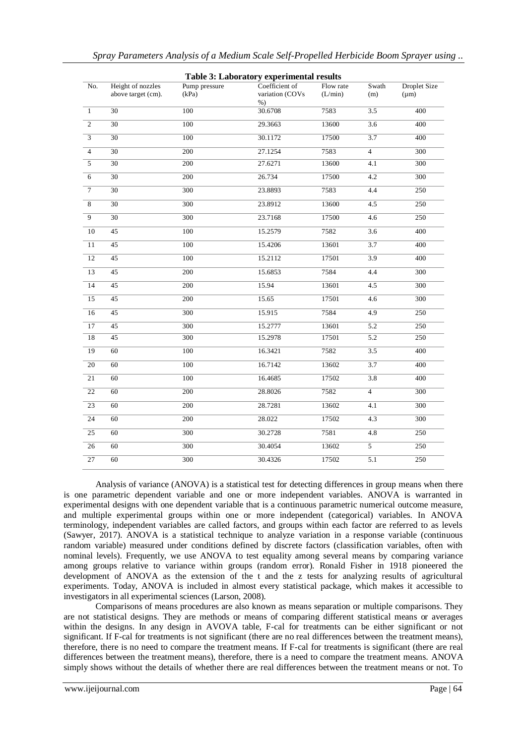|                  |                    |               | Table 3: Laboratory experimental results |           |                  |                     |
|------------------|--------------------|---------------|------------------------------------------|-----------|------------------|---------------------|
| No.              | Height of nozzles  | Pump pressure | Coefficient of                           | Flow rate | Swath            | <b>Droplet Size</b> |
|                  | above target (cm). | (kPa)         | variation (COVs                          | (L/min)   | (m)              | $(\mu m)$           |
| $\mathbf{1}$     | 30                 | 100           | $%$ )<br>30.6708                         | 7583      | 3.5              | 400                 |
| $\overline{2}$   | 30                 | 100           | 29.3663                                  | 13600     | 3.6              | 400                 |
| $\overline{3}$   | 30                 | 100           | 30.1172                                  | 17500     | 3.7              | 400                 |
| $\overline{4}$   | $\overline{30}$    | 200           | 27.1254                                  | 7583      | $\overline{4}$   | 300                 |
| $\overline{5}$   | $\overline{30}$    | 200           | 27.6271                                  | 13600     | 4.1              | 300                 |
|                  |                    |               |                                          |           |                  |                     |
| 6                | 30                 | 200           | 26.734                                   | 17500     | 4.2              | 300                 |
| $\boldsymbol{7}$ | 30                 | 300           | 23.8893                                  | 7583      | 4.4              | 250                 |
| 8                | 30                 | 300           | 23.8912                                  | 13600     | 4.5              | 250                 |
| 9                | 30                 | 300           | 23.7168                                  | 17500     | 4.6              | 250                 |
| 10               | 45                 | 100           | 15.2579                                  | 7582      | 3.6              | 400                 |
| 11               | 45                 | 100           | 15.4206                                  | 13601     | 3.7              | 400                 |
| 12               | 45                 | 100           | 15.2112                                  | 17501     | 3.9              | 400                 |
| 13               | 45                 | 200           | 15.6853                                  | 7584      | 4.4              | 300                 |
| 14               | 45                 | 200           | 15.94                                    | 13601     | 4.5              | 300                 |
| 15               | 45                 | 200           | 15.65                                    | 17501     | 4.6              | 300                 |
| 16               | $45\,$             | 300           | 15.915                                   | 7584      | 4.9              | 250                 |
| 17               | 45                 | 300           | 15.2777                                  | 13601     | 5.2              | 250                 |
| $18\,$           | 45                 | 300           | 15.2978                                  | 17501     | $\overline{5.2}$ | 250                 |
| 19               | 60                 | 100           | 16.3421                                  | 7582      | $\overline{3.5}$ | 400                 |
| $20\,$           | 60                 | 100           | 16.7142                                  | 13602     | 3.7              | 400                 |
| 21               | 60                 | 100           | 16.4685                                  | 17502     | $\overline{3.8}$ | 400                 |
| 22               | 60                 | 200           | 28.8026                                  | 7582      | $\overline{4}$   | 300                 |
| $\overline{23}$  | $\overline{60}$    | 200           | 28.7281                                  | 13602     | 4.1              | 300                 |
| 24               | 60                 | 200           | 28.022                                   | 17502     | 4.3              | 300                 |
| $25\,$           | 60                 | 300           | 30.2728                                  | 7581      | 4.8              | 250                 |
| 26               | 60                 | 300           | 30.4054                                  | 13602     | $\overline{5}$   | 250                 |
| 27               | 60                 | 300           | 30.4326                                  | 17502     | 5.1              | 250                 |
|                  |                    |               |                                          |           |                  |                     |

Analysis of variance (ANOVA) is a statistical test for detecting differences in group means when there is one parametric dependent variable and one or more independent variables. ANOVA is warranted in experimental designs with one dependent variable that is a continuous parametric numerical outcome measure, and multiple experimental groups within one or more independent (categorical) variables. In ANOVA terminology, independent variables are called factors, and groups within each factor are referred to as levels (Sawyer, 2017). ANOVA is a statistical technique to analyze variation in a response variable (continuous random variable) measured under conditions defined by discrete factors (classification variables, often with nominal levels). Frequently, we use ANOVA to test equality among several means by comparing variance among groups relative to variance within groups (random error). Ronald Fisher in 1918 pioneered the development of ANOVA as the extension of the t and the z tests for analyzing results of agricultural experiments. Today, ANOVA is included in almost every statistical package, which makes it accessible to investigators in all experimental sciences (Larson, 2008).

Comparisons of means procedures are also known as means separation or multiple comparisons. They are not statistical designs. They are methods or means of comparing different statistical means or averages within the designs. In any design in AVOVA table, F-cal for treatments can be either significant or not significant. If F-cal for treatments is not significant (there are no real differences between the treatment means), therefore, there is no need to compare the treatment means. If F-cal for treatments is significant (there are real differences between the treatment means), therefore, there is a need to compare the treatment means. ANOVA simply shows without the details of whether there are real differences between the treatment means or not. To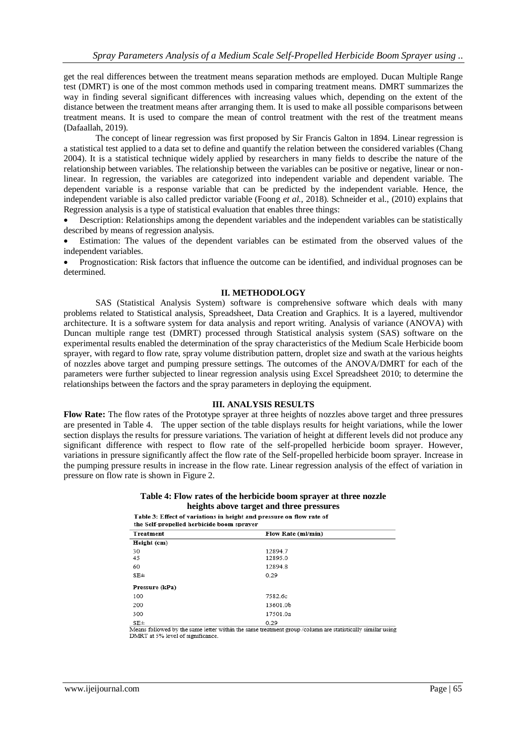get the real differences between the treatment means separation methods are employed. Ducan Multiple Range test (DMRT) is one of the most common methods used in comparing treatment means. DMRT summarizes the way in finding several significant differences with increasing values which, depending on the extent of the distance between the treatment means after arranging them. It is used to make all possible comparisons between treatment means. It is used to compare the mean of control treatment with the rest of the treatment means (Dafaallah, 2019).

The concept of linear regression was first proposed by Sir Francis Galton in 1894. Linear regression is a statistical test applied to a data set to define and quantify the relation between the considered variables (Chang 2004). It is a statistical technique widely applied by researchers in many fields to describe the nature of the relationship between variables. The relationship between the variables can be positive or negative, linear or nonlinear. In regression, the variables are categorized into independent variable and dependent variable. The dependent variable is a response variable that can be predicted by the independent variable. Hence, the independent variable is also called predictor variable (Foong *et al.,* 2018). Schneider et al., (2010) explains that Regression analysis is a type of statistical evaluation that enables three things:

 Description: Relationships among the dependent variables and the independent variables can be statistically described by means of regression analysis.

 Estimation: The values of the dependent variables can be estimated from the observed values of the independent variables.

 Prognostication: Risk factors that influence the outcome can be identified, and individual prognoses can be determined.

#### **II. METHODOLOGY**

SAS (Statistical Analysis System) software is comprehensive software which deals with many problems related to Statistical analysis, Spreadsheet, Data Creation and Graphics. It is a layered, multivendor architecture. It is a software system for data analysis and report writing. Analysis of variance (ANOVA) with Duncan multiple range test (DMRT) processed through Statistical analysis system (SAS) software on the experimental results enabled the determination of the spray characteristics of the Medium Scale Herbicide boom sprayer, with regard to flow rate, spray volume distribution pattern, droplet size and swath at the various heights of nozzles above target and pumping pressure settings. The outcomes of the ANOVA/DMRT for each of the parameters were further subjected to linear regression analysis using Excel Spreadsheet 2010; to determine the relationships between the factors and the spray parameters in deploying the equipment.

### **III. ANALYSIS RESULTS**

**Flow Rate:** The flow rates of the Prototype sprayer at three heights of nozzles above target and three pressures are presented in Table 4. The upper section of the table displays results for height variations, while the lower section displays the results for pressure variations. The variation of height at different levels did not produce any significant difference with respect to flow rate of the self-propelled herbicide boom sprayer. However, variations in pressure significantly affect the flow rate of the Self-propelled herbicide boom sprayer. Increase in the pumping pressure results in increase in the flow rate. Linear regression analysis of the effect of variation in pressure on flow rate is shown in Figure 2.

# **Table 4: Flow rates of the herbicide boom sprayer at three nozzle**

**heights above target and three pressures**<br>Table 3: Effect of variations in height and pressure on flow rate of

| the sen-propened herbicide boom sprayer |          |  |
|-----------------------------------------|----------|--|
| Flow Rate (ml/min)<br>Treatment         |          |  |
| Height (cm)                             |          |  |
| 30                                      | 12894.7  |  |
| 45                                      | 12895.0  |  |
| 60                                      | 12894.8  |  |
| SE±                                     | 0.29     |  |
| Pressure (kPa)                          |          |  |
| 100                                     | 7582.6c  |  |
| 200                                     | 13601.0b |  |
| 300                                     | 17501.0a |  |
| $SE+$                                   | 0.29     |  |

Means followed by the same letter within the same treatment group /column are statistically similar using DMRT at 5% level of significance.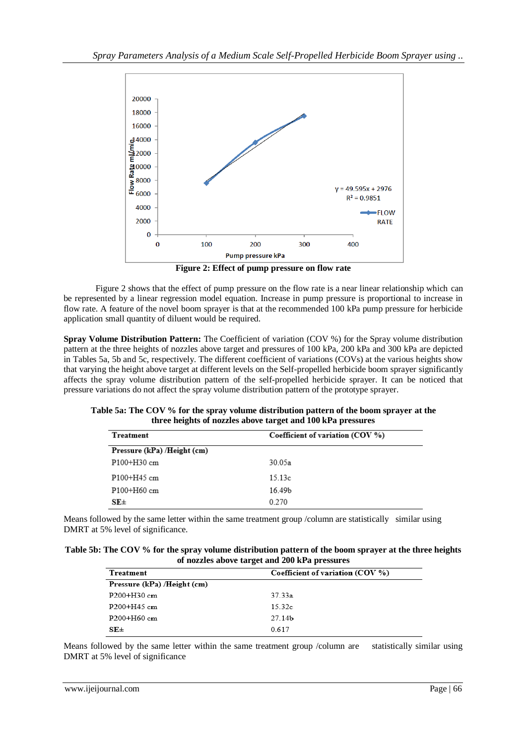

**Figure 2: Effect of pump pressure on flow rate**

Figure 2 shows that the effect of pump pressure on the flow rate is a near linear relationship which can be represented by a linear regression model equation. Increase in pump pressure is proportional to increase in flow rate. A feature of the novel boom sprayer is that at the recommended 100 kPa pump pressure for herbicide application small quantity of diluent would be required.

**Spray Volume Distribution Pattern:** The Coefficient of variation (COV %) for the Spray volume distribution pattern at the three heights of nozzles above target and pressures of 100 kPa, 200 kPa and 300 kPa are depicted in Tables 5a, 5b and 5c, respectively. The different coefficient of variations (COVs) at the various heights show that varying the height above target at different levels on the Self-propelled herbicide boom sprayer significantly affects the spray volume distribution pattern of the self-propelled herbicide sprayer. It can be noticed that pressure variations do not affect the spray volume distribution pattern of the prototype sprayer.

| three heights of nozzles above target and 100 kPa pressures |        |
|-------------------------------------------------------------|--------|
| Coefficient of variation $(COV %)$<br>Treatment             |        |
| Pressure (kPa) /Height (cm)                                 |        |
| $P100+H30$ cm                                               | 30.05a |

15.13c

16.49b

0.270

**Table 5a: The COV % for the spray volume distribution pattern of the boom sprayer at the three heights of nozzles above target and 100 kPa pressures**

| Means followed by the same letter within the same treatment group /column are statistically similar using |  |
|-----------------------------------------------------------------------------------------------------------|--|
| DMRT at 5% level of significance.                                                                         |  |

| Table 5b: The COV % for the spray volume distribution pattern of the boom sprayer at the three heights |
|--------------------------------------------------------------------------------------------------------|
| of nozzles above target and 200 kPa pressures                                                          |

| Treatment                   | Coefficient of variation (COV %) |
|-----------------------------|----------------------------------|
| Pressure (kPa) /Height (cm) |                                  |
| $P200+H30$ cm               | 37.33a                           |
| $P200 + H45$ cm             | 15.32c                           |
| $P200 + H60$ cm             | 27.14b                           |
| $SE+$                       | 0.617                            |

Means followed by the same letter within the same treatment group /column are statistically similar using DMRT at 5% level of significance

P100+H45 cm

P100+H60 cm

 $SE\pm$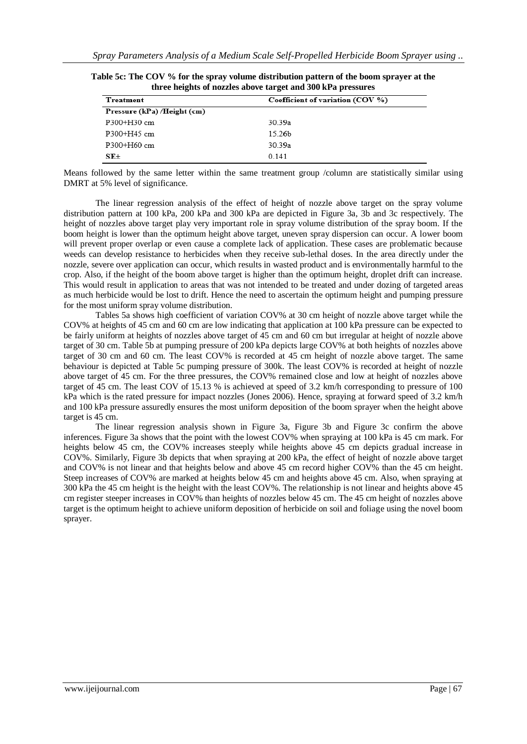| Treatment                   | Coefficient of variation (COV %) |  |  |  |
|-----------------------------|----------------------------------|--|--|--|
| Pressure (kPa) /Height (cm) |                                  |  |  |  |
| $P300 + H30$ cm             | 30.39a                           |  |  |  |
| $P300 + H45$ cm             | 15.26b                           |  |  |  |
| 30.39a<br>$P300 + H60$ cm   |                                  |  |  |  |
| $SE \pm$                    | 0.141                            |  |  |  |

| Table 5c: The COV % for the spray volume distribution pattern of the boom sprayer at the |
|------------------------------------------------------------------------------------------|
| three heights of nozzles above target and 300 kPa pressures                              |

Means followed by the same letter within the same treatment group /column are statistically similar using DMRT at 5% level of significance.

The linear regression analysis of the effect of height of nozzle above target on the spray volume distribution pattern at 100 kPa, 200 kPa and 300 kPa are depicted in Figure 3a, 3b and 3c respectively. The height of nozzles above target play very important role in spray volume distribution of the spray boom. If the boom height is lower than the optimum height above target, uneven spray dispersion can occur. A lower boom will prevent proper overlap or even cause a complete lack of application. These cases are problematic because weeds can develop resistance to herbicides when they receive sub-lethal doses. In the area directly under the nozzle, severe over application can occur, which results in wasted product and is environmentally harmful to the crop. Also, if the height of the boom above target is higher than the optimum height, droplet drift can increase. This would result in application to areas that was not intended to be treated and under dozing of targeted areas as much herbicide would be lost to drift. Hence the need to ascertain the optimum height and pumping pressure for the most uniform spray volume distribution.

Tables 5a shows high coefficient of variation COV% at 30 cm height of nozzle above target while the COV% at heights of 45 cm and 60 cm are low indicating that application at 100 kPa pressure can be expected to be fairly uniform at heights of nozzles above target of 45 cm and 60 cm but irregular at height of nozzle above target of 30 cm. Table 5b at pumping pressure of 200 kPa depicts large COV% at both heights of nozzles above target of 30 cm and 60 cm. The least COV% is recorded at 45 cm height of nozzle above target. The same behaviour is depicted at Table 5c pumping pressure of 300k. The least COV% is recorded at height of nozzle above target of 45 cm. For the three pressures, the COV% remained close and low at height of nozzles above target of 45 cm. The least COV of 15.13 % is achieved at speed of 3.2 km/h corresponding to pressure of 100 kPa which is the rated pressure for impact nozzles (Jones 2006). Hence, spraying at forward speed of 3.2 km/h and 100 kPa pressure assuredly ensures the most uniform deposition of the boom sprayer when the height above target is 45 cm.

The linear regression analysis shown in Figure 3a, Figure 3b and Figure 3c confirm the above inferences. Figure 3a shows that the point with the lowest COV% when spraying at 100 kPa is 45 cm mark. For heights below 45 cm, the COV% increases steeply while heights above 45 cm depicts gradual increase in COV%. Similarly, Figure 3b depicts that when spraying at 200 kPa, the effect of height of nozzle above target and COV% is not linear and that heights below and above 45 cm record higher COV% than the 45 cm height. Steep increases of COV% are marked at heights below 45 cm and heights above 45 cm. Also, when spraying at 300 kPa the 45 cm height is the height with the least COV%. The relationship is not linear and heights above 45 cm register steeper increases in COV% than heights of nozzles below 45 cm. The 45 cm height of nozzles above target is the optimum height to achieve uniform deposition of herbicide on soil and foliage using the novel boom sprayer.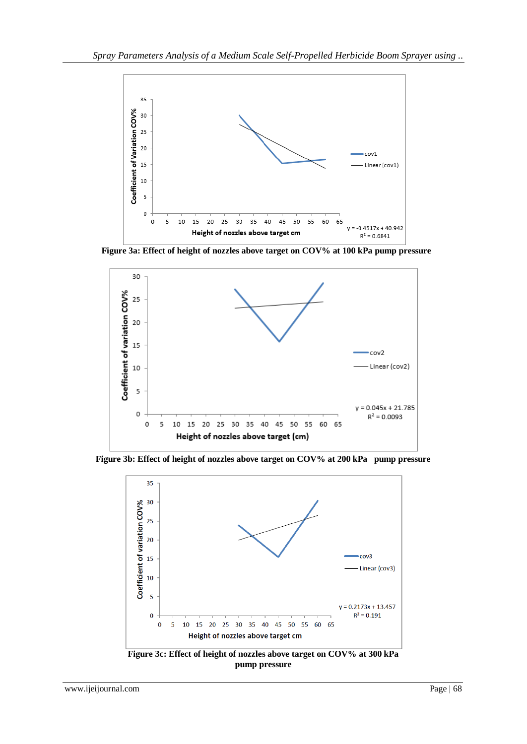

 **Figure 3a: Effect of height of nozzles above target on COV% at 100 kPa pump pressure**



**Figure 3b: Effect of height of nozzles above target on COV% at 200 kPa pump pressure**



**Figure 3c: Effect of height of nozzles above target on COV% at 300 kPa pump pressure**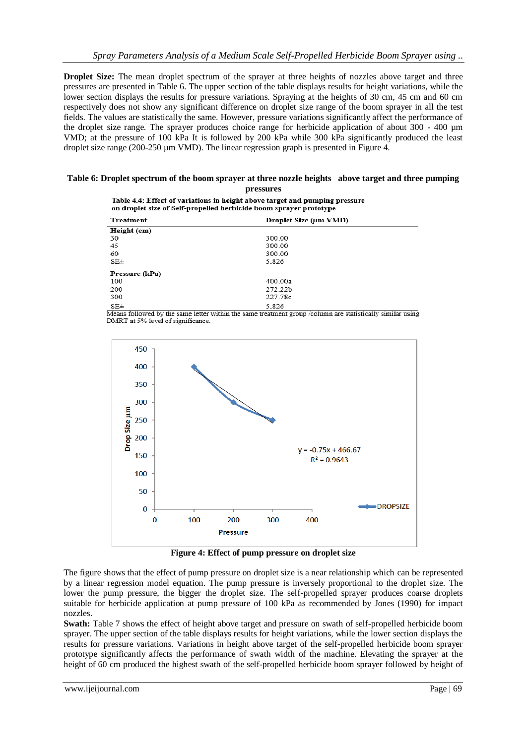**Droplet Size:** The mean droplet spectrum of the sprayer at three heights of nozzles above target and three pressures are presented in Table 6. The upper section of the table displays results for height variations, while the lower section displays the results for pressure variations. Spraying at the heights of 30 cm, 45 cm and 60 cm respectively does not show any significant difference on droplet size range of the boom sprayer in all the test fields. The values are statistically the same. However, pressure variations significantly affect the performance of the droplet size range. The sprayer produces choice range for herbicide application of about 300 - 400 µm VMD; at the pressure of 100 kPa It is followed by 200 kPa while 300 kPa significantly produced the least droplet size range (200-250 µm VMD). The linear regression graph is presented in Figure 4.

#### **Table 6: Droplet spectrum of the boom sprayer at three nozzle heights above target and three pumping pressures**

| Table 4.4: Effect of variations in height above target and pumping pressure |
|-----------------------------------------------------------------------------|
| on droplet size of Self-propelled herbicide boom sprayer prototype          |

| Treatment                                                                                        | Droplet Size (µm VMD)                         |
|--------------------------------------------------------------------------------------------------|-----------------------------------------------|
| Height (cm)                                                                                      |                                               |
| 30                                                                                               | 300.00                                        |
| 45                                                                                               | 300.00                                        |
| 60                                                                                               | 300.00                                        |
| $SE\pm$                                                                                          | 5.826                                         |
| Pressure (kPa)                                                                                   |                                               |
| 100                                                                                              | 400.00a                                       |
| 200                                                                                              | 272.22b                                       |
| 300                                                                                              | 227.78c                                       |
| $SE\pm$<br>. .<br>.<br>$ -$<br>$\overline{\phantom{a}}$<br>--<br>the contract of the contract of | 5.826<br>.<br>---<br>$\overline{\phantom{a}}$ |

Means followed by the same letter within the same treatment group /column are statistically similar using DMRT at 5% level of significance.



**Figure 4: Effect of pump pressure on droplet size**

The figure shows that the effect of pump pressure on droplet size is a near relationship which can be represented by a linear regression model equation. The pump pressure is inversely proportional to the droplet size. The lower the pump pressure, the bigger the droplet size. The self-propelled sprayer produces coarse droplets suitable for herbicide application at pump pressure of 100 kPa as recommended by Jones (1990) for impact nozzles.

**Swath:** Table 7 shows the effect of height above target and pressure on swath of self-propelled herbicide boom sprayer. The upper section of the table displays results for height variations, while the lower section displays the results for pressure variations. Variations in height above target of the self-propelled herbicide boom sprayer prototype significantly affects the performance of swath width of the machine. Elevating the sprayer at the height of 60 cm produced the highest swath of the self-propelled herbicide boom sprayer followed by height of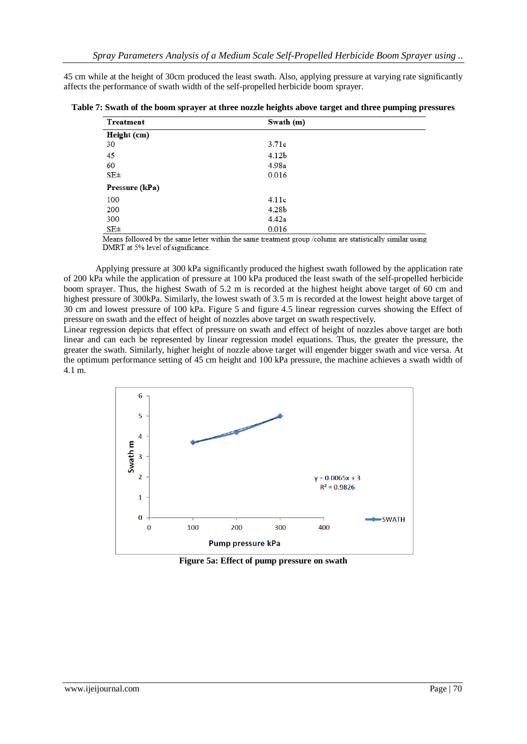45 cm while at the height of 30cm produced the least swath. Also, applying pressure at varying rate significantly affects the performance of swath width of the self-propelled herbicide boom sprayer.

|  |  |  | Table 7: Swath of the boom sprayer at three nozzle heights above target and three pumping pressures |  |
|--|--|--|-----------------------------------------------------------------------------------------------------|--|
|  |  |  |                                                                                                     |  |

| Treatment      | Swath (m) |
|----------------|-----------|
| Height (cm)    |           |
| 30             | 3.71c     |
| 45             | 4.12b     |
| 60             | 4.98a     |
| $SE \pm$       | 0.016     |
| Pressure (kPa) |           |
| 100            | 4.11c     |
| 200            | 4.28b     |
| 300            | 4.42a     |
| $SE \pm$       | 0.016     |

Means followed by the same letter within the same treatment group /column are statistically similar using DMRT at 5% level of significance.

Applying pressure at 300 kPa significantly produced the highest swath followed by the application rate of 200 kPa while the application of pressure at 100 kPa produced the least swath of the self-propelled herbicide boom sprayer. Thus, the highest Swath of 5.2 m is recorded at the highest height above target of 60 cm and highest pressure of 300kPa. Similarly, the lowest swath of 3.5 m is recorded at the lowest height above target of 30 cm and lowest pressure of 100 kPa. Figure 5 and figure 4.5 linear regression curves showing the Effect of pressure on swath and the effect of height of nozzles above target on swath respectively.

Linear regression depicts that effect of pressure on swath and effect of height of nozzles above target are both linear and can each be represented by linear regression model equations. Thus, the greater the pressure, the greater the swath. Similarly, higher height of nozzle above target will engender bigger swath and vice versa. At the optimum performance setting of 45 cm height and 100 kPa pressure, the machine achieves a swath width of 4.1 m.



**Figure 5a: Effect of pump pressure on swath**